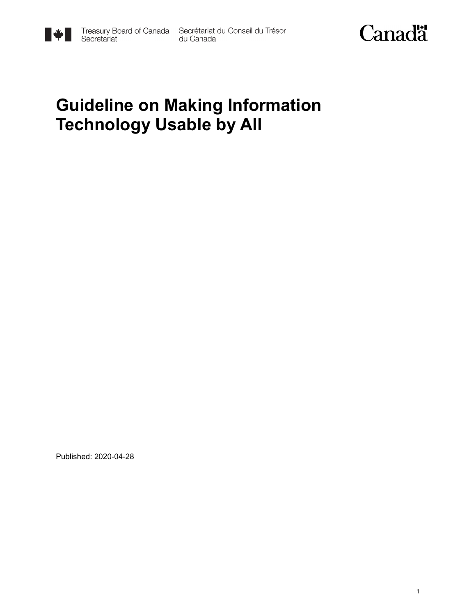

Treasury Board of Canada Secrétariat du Conseil du Trésor<br>Secretariat du Canada



## **Guideline on Making Information Technology Usable by All**

Published: 2020-04-28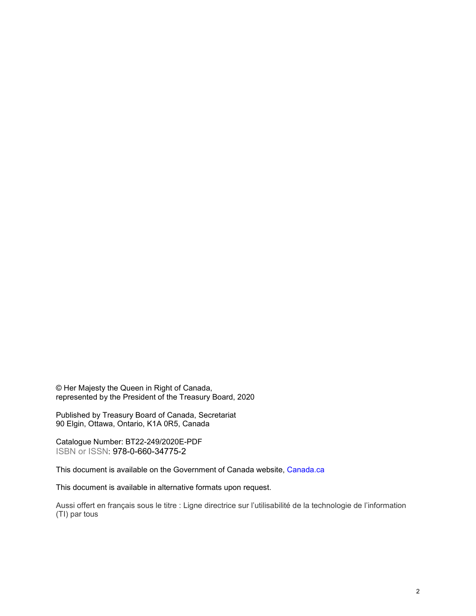© Her Majesty the Queen in Right of Canada, represented by the President of the Treasury Board, 2020

Published by Treasury Board of Canada, Secretariat 90 Elgin, Ottawa, Ontario, K1A 0R5, Canada

Catalogue Number: BT22-249/2020E-PDF ISBN or ISSN: 978-0-660-34775-2

This document is available on the Government of Canada website, [Canada.](https://www.canada.ca/en.html)ca

This document is available in alternative formats upon request.

Aussi offert en français sous le titre : Ligne directrice sur l'utilisabilité de la technologie de l'information (TI) par tous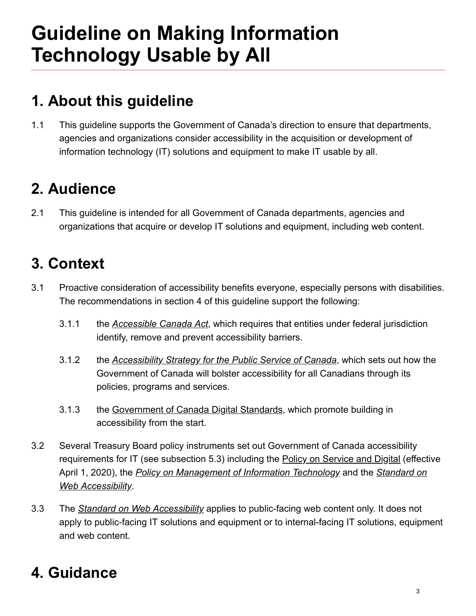# **Guideline on Making Information Technology Usable by All**

## **1. About this guideline**

This guideline supports the Government of Canada's direction to ensure that departments, agencies and organizations consider accessibility in the acquisition or development of information technology (IT) solutions and equipment to make IT usable by all. 1.1

#### **2. Audience**

This guideline is intended for all Government of Canada departments, agencies and organizations that acquire or develop IT solutions and equipment, including web content. 2.1

#### **3. Context**

- Proactive consideration of accessibility benefits everyone, especially persons with disabilities. The recommendations in section 4 of this guideline support the following: 3.1
	- the *[Accessible Canada Act](https://www.parl.ca/DocumentViewer/en/42-1/bill/C-81/royal-assent)*, which requires that entities under federal jurisdiction identify, remove and prevent accessibility barriers. 3.1.1
	- the *[Accessibility Strategy for the Public Service of Canada](https://www.canada.ca/en/government/publicservice/wellness-inclusion-diversity-public-service/diversity-inclusion-public-service/accessibility-public-service/accessibility-strategy-public-service-toc.html)*, which sets out how the Government of Canada will bolster accessibility for all Canadians through its policies, programs and services. 3.1.2
	- the [Government of Canada Digital Standards,](https://www.canada.ca/en/government/system/digital-government/government-canada-digital-standards.html) which promote building in accessibility from the start. 3.1.3
- Several Treasury Board policy instruments set out Government of Canada accessibility requirements for IT (see subsection 5.3) including the [Policy on Service and Digital](https://www.tbs-sct.gc.ca/pol/doc-eng.aspx?id=32603) (effective April 1, 2020), the *[Policy on Management of Information Technology](https://www.tbs-sct.gc.ca/pol/doc-eng.aspx?id=23601)* and the *Standard on Web Accessibility*. 3.2
- The *[Standard on Web Accessibility](https://www.tbs-sct.gc.ca/pol/doc-eng.aspx?id=23601)* applies to public-facing web content only. It does not apply to public-facing IT solutions and equipment or to internal-facing IT solutions, equipment and web content. 3.3

### **4. Guidance**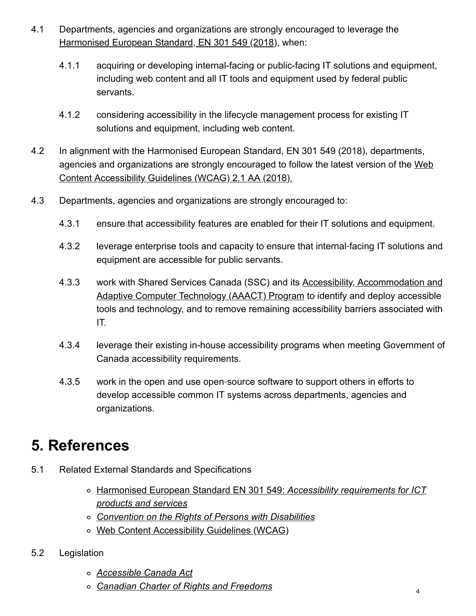- Departments, agencies and organizations are strongly encouraged to leverage the [Harmonised European Standard, EN 301 549 \(2018\),](https://www.etsi.org/deliver/etsi_en/301500_301599/301549/02.01.02_60/en_301549v020102p.pdf) when: 4.1
	- acquiring or developing internal-facing or public-facing IT solutions and equipment, including web content and all IT tools and equipment used by federal public servants. 4.1.1
	- considering accessibility in the lifecycle management process for existing IT solutions and equipment, including web content. 4.1.2
- In alignment with the Harmonised European Standard, EN 301 549 (2018), departments, [agencies and organizations are strongly encouraged to follow the latest version of the Web](http://www.w3.org/TR/2018/REC-WCAG21-20180605/) Content Accessibility Guidelines (WCAG) 2.1 AA (2018). 4.2
- 4.3 Departments, agencies and organizations are strongly encouraged to:
	- 4.3.1 ensure that accessibility features are enabled for their IT solutions and equipment.
	- leverage enterprise tools and capacity to ensure that internal-facing IT solutions and equipment are accessible for public servants. 4.3.2
	- [work with Shared Services Canada \(SSC\) and its Accessibility, Accommodation and](https://www.canada.ca/en/shared-services/corporate/aaact-program.html) Adaptive Computer Technology (AAACT) Program to identify and deploy accessible tools and technology, and to remove remaining accessibility barriers associated with IT. 4.3.3
	- leverage their existing in-house accessibility programs when meeting Government of Canada accessibility requirements. 4.3.4
	- work in the open and use open‑source software to support others in efforts to develop accessible common IT systems across departments, agencies and organizations. 4.3.5

#### **5. References**

- Related External Standards and Specifications 5.1
	- [Harmonised European Standard EN 301 549:](https://www.etsi.org/deliver/etsi_en/301500_301599/301549/02.01.02_60/en_301549v020102p.pdf) *Accessibility requirements for ICT products and services*
	- *[Convention on the Rights of Persons with Disabilities](https://www.un.org/development/desa/disabilities/convention-on-the-rights-of-persons-with-disabilities.html)*
	- [Web Content Accessibility Guidelines \(WCAG\)](http://www.w3.org/TR/2018/REC-WCAG21-20180605/)
- Legislation 5.2
	- *[Accessible Canada Act](https://www.parl.ca/DocumentViewer/en/42-1/bill/C-81/royal-assent)*
	- *[Canadian Charter of Rights and Freedoms](https://laws-lois.justice.gc.ca/eng/const/page-15.html)*